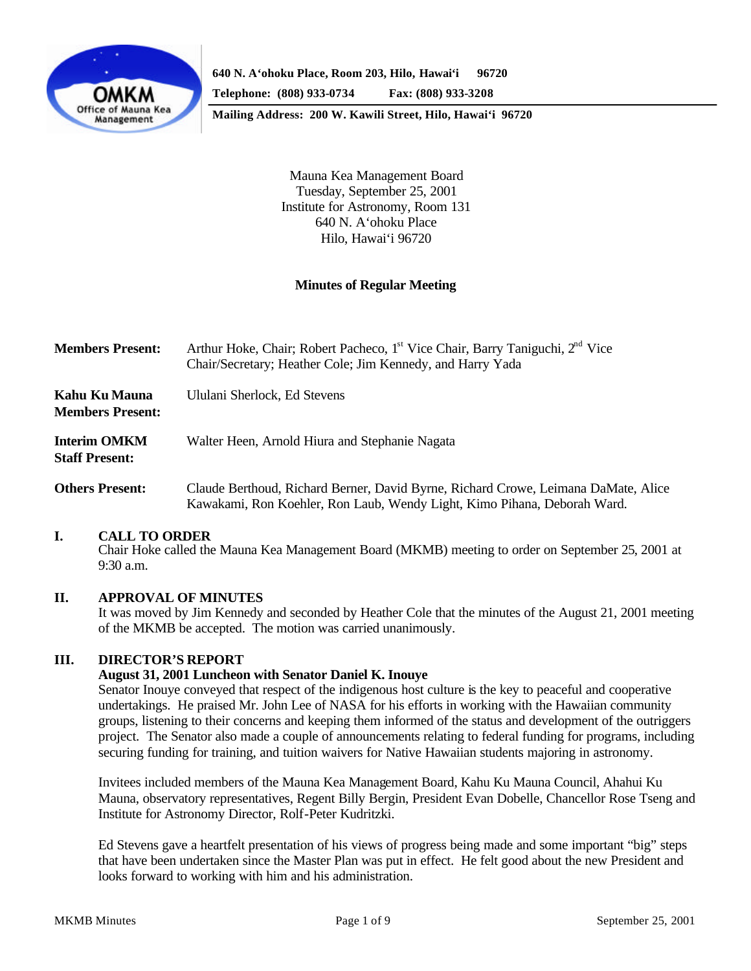

**Mailing Address: 200 W. Kawili Street, Hilo, Hawai'i 96720**

Mauna Kea Management Board Tuesday, September 25, 2001 Institute for Astronomy, Room 131 640 N. A'ohoku Place Hilo, Hawai'i 96720

## **Minutes of Regular Meeting**

| <b>Members Present:</b>                      | Arthur Hoke, Chair; Robert Pacheco, 1 <sup>st</sup> Vice Chair, Barry Taniguchi, 2 <sup>nd</sup> Vice<br>Chair/Secretary; Heather Cole; Jim Kennedy, and Harry Yada |
|----------------------------------------------|---------------------------------------------------------------------------------------------------------------------------------------------------------------------|
| Kahu Ku Mauna<br><b>Members Present:</b>     | Ululani Sherlock, Ed Stevens                                                                                                                                        |
| <b>Interim OMKM</b><br><b>Staff Present:</b> | Walter Heen, Arnold Hiura and Stephanie Nagata                                                                                                                      |
| <b>Others Present:</b>                       | Claude Berthoud, Richard Berner, David Byrne, Richard Crowe, Leimana DaMate, Alice<br>Kawakami, Ron Koehler, Ron Laub, Wendy Light, Kimo Pihana, Deborah Ward.      |

### **I. CALL TO ORDER**

Chair Hoke called the Mauna Kea Management Board (MKMB) meeting to order on September 25, 2001 at 9:30 a.m.

#### **II. APPROVAL OF MINUTES**

It was moved by Jim Kennedy and seconded by Heather Cole that the minutes of the August 21, 2001 meeting of the MKMB be accepted. The motion was carried unanimously.

### **III. DIRECTOR'S REPORT**

#### **August 31, 2001 Luncheon with Senator Daniel K. Inouye**

Senator Inouye conveyed that respect of the indigenous host culture is the key to peaceful and cooperative undertakings. He praised Mr. John Lee of NASA for his efforts in working with the Hawaiian community groups, listening to their concerns and keeping them informed of the status and development of the outriggers project. The Senator also made a couple of announcements relating to federal funding for programs, including securing funding for training, and tuition waivers for Native Hawaiian students majoring in astronomy.

Invitees included members of the Mauna Kea Management Board, Kahu Ku Mauna Council, Ahahui Ku Mauna, observatory representatives, Regent Billy Bergin, President Evan Dobelle, Chancellor Rose Tseng and Institute for Astronomy Director, Rolf-Peter Kudritzki.

Ed Stevens gave a heartfelt presentation of his views of progress being made and some important "big" steps that have been undertaken since the Master Plan was put in effect. He felt good about the new President and looks forward to working with him and his administration.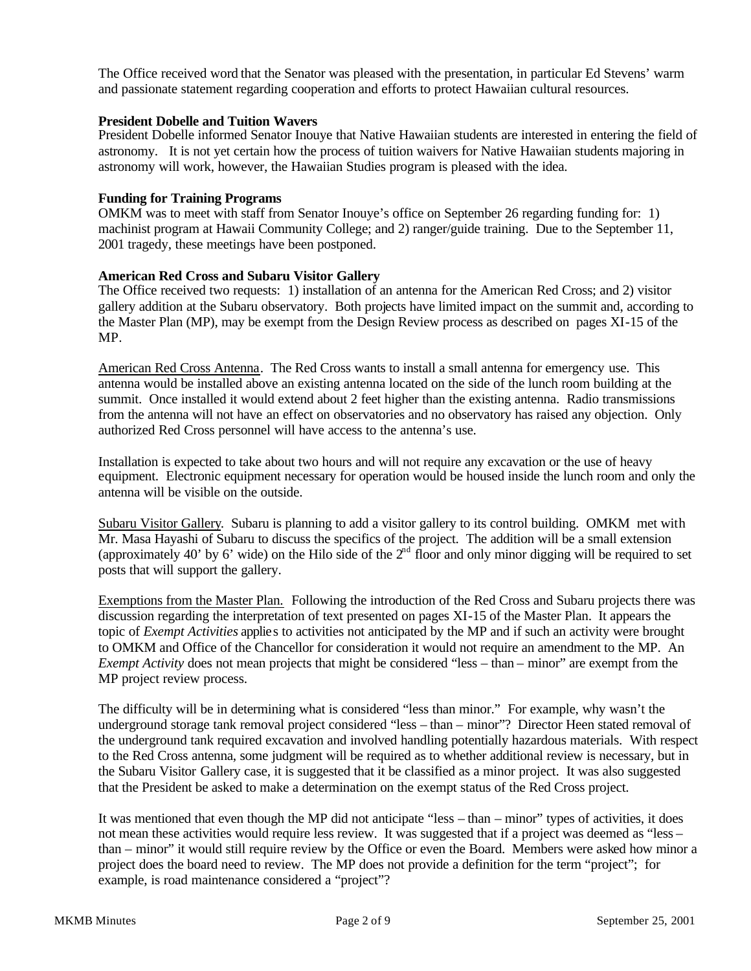The Office received word that the Senator was pleased with the presentation, in particular Ed Stevens' warm and passionate statement regarding cooperation and efforts to protect Hawaiian cultural resources.

#### **President Dobelle and Tuition Wavers**

President Dobelle informed Senator Inouye that Native Hawaiian students are interested in entering the field of astronomy. It is not yet certain how the process of tuition waivers for Native Hawaiian students majoring in astronomy will work, however, the Hawaiian Studies program is pleased with the idea.

#### **Funding for Training Programs**

OMKM was to meet with staff from Senator Inouye's office on September 26 regarding funding for: 1) machinist program at Hawaii Community College; and 2) ranger/guide training. Due to the September 11, 2001 tragedy, these meetings have been postponed.

#### **American Red Cross and Subaru Visitor Gallery**

The Office received two requests: 1) installation of an antenna for the American Red Cross; and 2) visitor gallery addition at the Subaru observatory. Both projects have limited impact on the summit and, according to the Master Plan (MP), may be exempt from the Design Review process as described on pages XI-15 of the MP.

American Red Cross Antenna. The Red Cross wants to install a small antenna for emergency use. This antenna would be installed above an existing antenna located on the side of the lunch room building at the summit. Once installed it would extend about 2 feet higher than the existing antenna. Radio transmissions from the antenna will not have an effect on observatories and no observatory has raised any objection. Only authorized Red Cross personnel will have access to the antenna's use.

Installation is expected to take about two hours and will not require any excavation or the use of heavy equipment. Electronic equipment necessary for operation would be housed inside the lunch room and only the antenna will be visible on the outside.

Subaru Visitor Gallery. Subaru is planning to add a visitor gallery to its control building. OMKM met with Mr. Masa Hayashi of Subaru to discuss the specifics of the project. The addition will be a small extension (approximately 40' by 6' wide) on the Hilo side of the  $2<sup>nd</sup>$  floor and only minor digging will be required to set posts that will support the gallery.

Exemptions from the Master Plan. Following the introduction of the Red Cross and Subaru projects there was discussion regarding the interpretation of text presented on pages XI-15 of the Master Plan. It appears the topic of *Exempt Activities* applies to activities not anticipated by the MP and if such an activity were brought to OMKM and Office of the Chancellor for consideration it would not require an amendment to the MP. An *Exempt Activity* does not mean projects that might be considered "less – than – minor" are exempt from the MP project review process.

The difficulty will be in determining what is considered "less than minor." For example, why wasn't the underground storage tank removal project considered "less – than – minor"? Director Heen stated removal of the underground tank required excavation and involved handling potentially hazardous materials. With respect to the Red Cross antenna, some judgment will be required as to whether additional review is necessary, but in the Subaru Visitor Gallery case, it is suggested that it be classified as a minor project. It was also suggested that the President be asked to make a determination on the exempt status of the Red Cross project.

It was mentioned that even though the MP did not anticipate "less – than – minor" types of activities, it does not mean these activities would require less review. It was suggested that if a project was deemed as "less – than – minor" it would still require review by the Office or even the Board. Members were asked how minor a project does the board need to review. The MP does not provide a definition for the term "project"; for example, is road maintenance considered a "project"?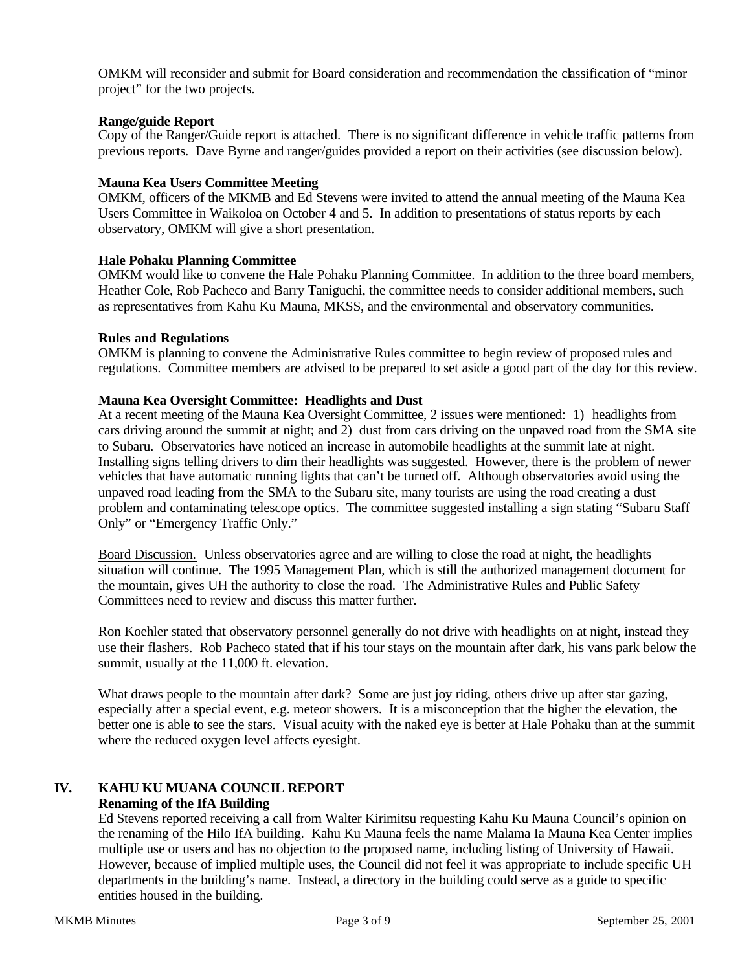OMKM will reconsider and submit for Board consideration and recommendation the classification of "minor project" for the two projects.

#### **Range/guide Report**

Copy of the Ranger/Guide report is attached. There is no significant difference in vehicle traffic patterns from previous reports. Dave Byrne and ranger/guides provided a report on their activities (see discussion below).

#### **Mauna Kea Users Committee Meeting**

OMKM, officers of the MKMB and Ed Stevens were invited to attend the annual meeting of the Mauna Kea Users Committee in Waikoloa on October 4 and 5. In addition to presentations of status reports by each observatory, OMKM will give a short presentation.

#### **Hale Pohaku Planning Committee**

OMKM would like to convene the Hale Pohaku Planning Committee. In addition to the three board members, Heather Cole, Rob Pacheco and Barry Taniguchi, the committee needs to consider additional members, such as representatives from Kahu Ku Mauna, MKSS, and the environmental and observatory communities.

#### **Rules and Regulations**

OMKM is planning to convene the Administrative Rules committee to begin review of proposed rules and regulations. Committee members are advised to be prepared to set aside a good part of the day for this review.

#### **Mauna Kea Oversight Committee: Headlights and Dust**

At a recent meeting of the Mauna Kea Oversight Committee, 2 issues were mentioned: 1) headlights from cars driving around the summit at night; and 2) dust from cars driving on the unpaved road from the SMA site to Subaru. Observatories have noticed an increase in automobile headlights at the summit late at night. Installing signs telling drivers to dim their headlights was suggested. However, there is the problem of newer vehicles that have automatic running lights that can't be turned off. Although observatories avoid using the unpaved road leading from the SMA to the Subaru site, many tourists are using the road creating a dust problem and contaminating telescope optics. The committee suggested installing a sign stating "Subaru Staff Only" or "Emergency Traffic Only."

Board Discussion. Unless observatories agree and are willing to close the road at night, the headlights situation will continue. The 1995 Management Plan, which is still the authorized management document for the mountain, gives UH the authority to close the road. The Administrative Rules and Public Safety Committees need to review and discuss this matter further.

Ron Koehler stated that observatory personnel generally do not drive with headlights on at night, instead they use their flashers. Rob Pacheco stated that if his tour stays on the mountain after dark, his vans park below the summit, usually at the 11,000 ft. elevation.

What draws people to the mountain after dark? Some are just joy riding, others drive up after star gazing, especially after a special event, e.g. meteor showers. It is a misconception that the higher the elevation, the better one is able to see the stars. Visual acuity with the naked eye is better at Hale Pohaku than at the summit where the reduced oxygen level affects eyesight.

# **IV. KAHU KU MUANA COUNCIL REPORT**

# **Renaming of the IfA Building**

Ed Stevens reported receiving a call from Walter Kirimitsu requesting Kahu Ku Mauna Council's opinion on the renaming of the Hilo IfA building. Kahu Ku Mauna feels the name Malama Ia Mauna Kea Center implies multiple use or users and has no objection to the proposed name, including listing of University of Hawaii. However, because of implied multiple uses, the Council did not feel it was appropriate to include specific UH departments in the building's name. Instead, a directory in the building could serve as a guide to specific entities housed in the building.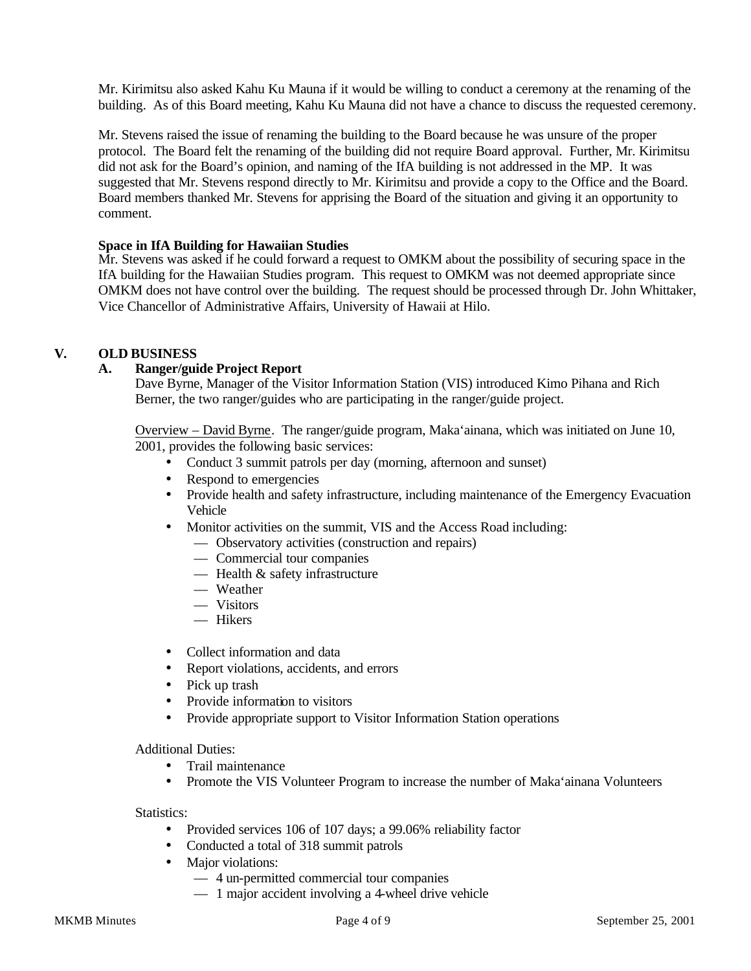Mr. Kirimitsu also asked Kahu Ku Mauna if it would be willing to conduct a ceremony at the renaming of the building. As of this Board meeting, Kahu Ku Mauna did not have a chance to discuss the requested ceremony.

Mr. Stevens raised the issue of renaming the building to the Board because he was unsure of the proper protocol. The Board felt the renaming of the building did not require Board approval. Further, Mr. Kirimitsu did not ask for the Board's opinion, and naming of the IfA building is not addressed in the MP. It was suggested that Mr. Stevens respond directly to Mr. Kirimitsu and provide a copy to the Office and the Board. Board members thanked Mr. Stevens for apprising the Board of the situation and giving it an opportunity to comment.

### **Space in IfA Building for Hawaiian Studies**

Mr. Stevens was asked if he could forward a request to OMKM about the possibility of securing space in the IfA building for the Hawaiian Studies program. This request to OMKM was not deemed appropriate since OMKM does not have control over the building. The request should be processed through Dr. John Whittaker, Vice Chancellor of Administrative Affairs, University of Hawaii at Hilo.

## **V. OLD BUSINESS**

## **A. Ranger/guide Project Report**

Dave Byrne, Manager of the Visitor Information Station (VIS) introduced Kimo Pihana and Rich Berner, the two ranger/guides who are participating in the ranger/guide project.

Overview – David Byrne. The ranger/guide program, Maka'ainana, which was initiated on June 10, 2001, provides the following basic services:

- Conduct 3 summit patrols per day (morning, afternoon and sunset)
- Respond to emergencies
- Provide health and safety infrastructure, including maintenance of the Emergency Evacuation Vehicle
- Monitor activities on the summit, VIS and the Access Road including:
	- Observatory activities (construction and repairs)
	- Commercial tour companies
	- Health & safety infrastructure
	- Weather
	- Visitors
	- Hikers
- Collect information and data
- Report violations, accidents, and errors
- Pick up trash
- Provide information to visitors
- Provide appropriate support to Visitor Information Station operations

Additional Duties:

- Trail maintenance
- Promote the VIS Volunteer Program to increase the number of Maka'ainana Volunteers

Statistics:

- Provided services 106 of 107 days; a 99.06% reliability factor
- Conducted a total of 318 summit patrols
- Major violations:
	- 4 un-permitted commercial tour companies
	- 1 major accident involving a 4-wheel drive vehicle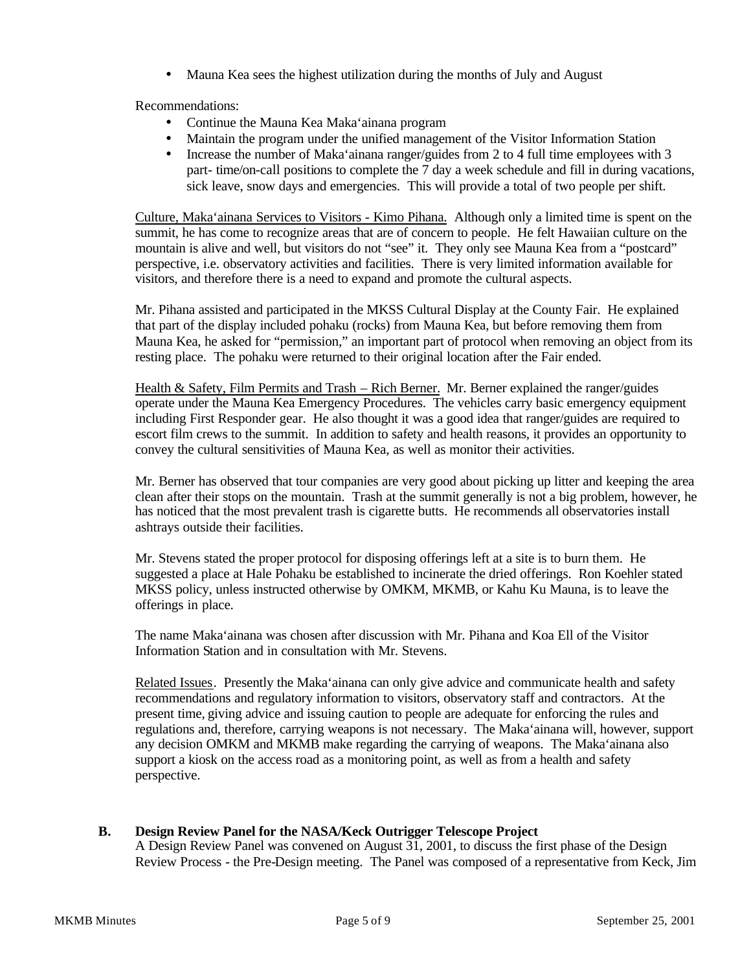• Mauna Kea sees the highest utilization during the months of July and August

Recommendations:

- Continue the Mauna Kea Maka'ainana program
- Maintain the program under the unified management of the Visitor Information Station
- Increase the number of Maka'ainana ranger/guides from 2 to 4 full time employees with 3 part- time/on-call positions to complete the 7 day a week schedule and fill in during vacations, sick leave, snow days and emergencies. This will provide a total of two people per shift.

Culture, Maka'ainana Services to Visitors - Kimo Pihana. Although only a limited time is spent on the summit, he has come to recognize areas that are of concern to people. He felt Hawaiian culture on the mountain is alive and well, but visitors do not "see" it. They only see Mauna Kea from a "postcard" perspective, i.e. observatory activities and facilities. There is very limited information available for visitors, and therefore there is a need to expand and promote the cultural aspects.

Mr. Pihana assisted and participated in the MKSS Cultural Display at the County Fair. He explained that part of the display included pohaku (rocks) from Mauna Kea, but before removing them from Mauna Kea, he asked for "permission," an important part of protocol when removing an object from its resting place. The pohaku were returned to their original location after the Fair ended.

Health & Safety, Film Permits and Trash – Rich Berner. Mr. Berner explained the ranger/guides operate under the Mauna Kea Emergency Procedures. The vehicles carry basic emergency equipment including First Responder gear. He also thought it was a good idea that ranger/guides are required to escort film crews to the summit. In addition to safety and health reasons, it provides an opportunity to convey the cultural sensitivities of Mauna Kea, as well as monitor their activities.

Mr. Berner has observed that tour companies are very good about picking up litter and keeping the area clean after their stops on the mountain. Trash at the summit generally is not a big problem, however, he has noticed that the most prevalent trash is cigarette butts. He recommends all observatories install ashtrays outside their facilities.

Mr. Stevens stated the proper protocol for disposing offerings left at a site is to burn them. He suggested a place at Hale Pohaku be established to incinerate the dried offerings. Ron Koehler stated MKSS policy, unless instructed otherwise by OMKM, MKMB, or Kahu Ku Mauna, is to leave the offerings in place.

The name Maka'ainana was chosen after discussion with Mr. Pihana and Koa Ell of the Visitor Information Station and in consultation with Mr. Stevens.

Related Issues. Presently the Maka'ainana can only give advice and communicate health and safety recommendations and regulatory information to visitors, observatory staff and contractors. At the present time, giving advice and issuing caution to people are adequate for enforcing the rules and regulations and, therefore, carrying weapons is not necessary. The Maka'ainana will, however, support any decision OMKM and MKMB make regarding the carrying of weapons. The Maka'ainana also support a kiosk on the access road as a monitoring point, as well as from a health and safety perspective.

## **B. Design Review Panel for the NASA/Keck Outrigger Telescope Project**

A Design Review Panel was convened on August 31, 2001, to discuss the first phase of the Design Review Process - the Pre-Design meeting. The Panel was composed of a representative from Keck, Jim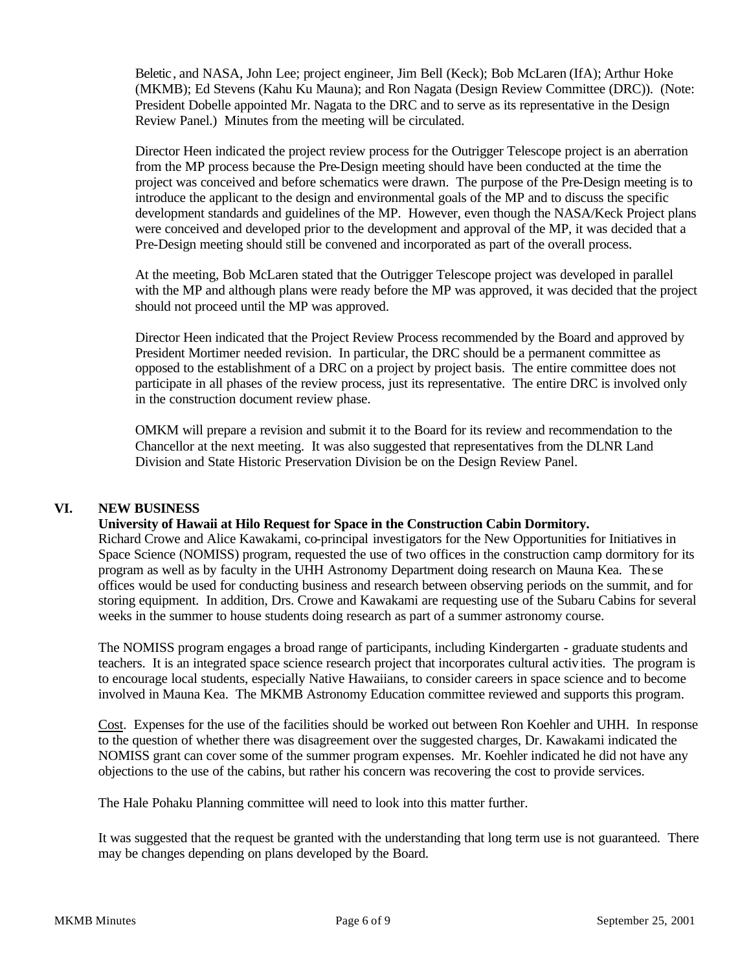Beletic, and NASA, John Lee; project engineer, Jim Bell (Keck); Bob McLaren (IfA); Arthur Hoke (MKMB); Ed Stevens (Kahu Ku Mauna); and Ron Nagata (Design Review Committee (DRC)). (Note: President Dobelle appointed Mr. Nagata to the DRC and to serve as its representative in the Design Review Panel.) Minutes from the meeting will be circulated.

Director Heen indicated the project review process for the Outrigger Telescope project is an aberration from the MP process because the Pre-Design meeting should have been conducted at the time the project was conceived and before schematics were drawn. The purpose of the Pre-Design meeting is to introduce the applicant to the design and environmental goals of the MP and to discuss the specific development standards and guidelines of the MP. However, even though the NASA/Keck Project plans were conceived and developed prior to the development and approval of the MP, it was decided that a Pre-Design meeting should still be convened and incorporated as part of the overall process.

At the meeting, Bob McLaren stated that the Outrigger Telescope project was developed in parallel with the MP and although plans were ready before the MP was approved, it was decided that the project should not proceed until the MP was approved.

Director Heen indicated that the Project Review Process recommended by the Board and approved by President Mortimer needed revision. In particular, the DRC should be a permanent committee as opposed to the establishment of a DRC on a project by project basis. The entire committee does not participate in all phases of the review process, just its representative. The entire DRC is involved only in the construction document review phase.

OMKM will prepare a revision and submit it to the Board for its review and recommendation to the Chancellor at the next meeting. It was also suggested that representatives from the DLNR Land Division and State Historic Preservation Division be on the Design Review Panel.

### **VI. NEW BUSINESS**

### **University of Hawaii at Hilo Request for Space in the Construction Cabin Dormitory.**

Richard Crowe and Alice Kawakami, co-principal investigators for the New Opportunities for Initiatives in Space Science (NOMISS) program, requested the use of two offices in the construction camp dormitory for its program as well as by faculty in the UHH Astronomy Department doing research on Mauna Kea. The se offices would be used for conducting business and research between observing periods on the summit, and for storing equipment. In addition, Drs. Crowe and Kawakami are requesting use of the Subaru Cabins for several weeks in the summer to house students doing research as part of a summer astronomy course.

The NOMISS program engages a broad range of participants, including Kindergarten - graduate students and teachers. It is an integrated space science research project that incorporates cultural activities. The program is to encourage local students, especially Native Hawaiians, to consider careers in space science and to become involved in Mauna Kea. The MKMB Astronomy Education committee reviewed and supports this program.

Cost. Expenses for the use of the facilities should be worked out between Ron Koehler and UHH. In response to the question of whether there was disagreement over the suggested charges, Dr. Kawakami indicated the NOMISS grant can cover some of the summer program expenses. Mr. Koehler indicated he did not have any objections to the use of the cabins, but rather his concern was recovering the cost to provide services.

The Hale Pohaku Planning committee will need to look into this matter further.

It was suggested that the request be granted with the understanding that long term use is not guaranteed. There may be changes depending on plans developed by the Board.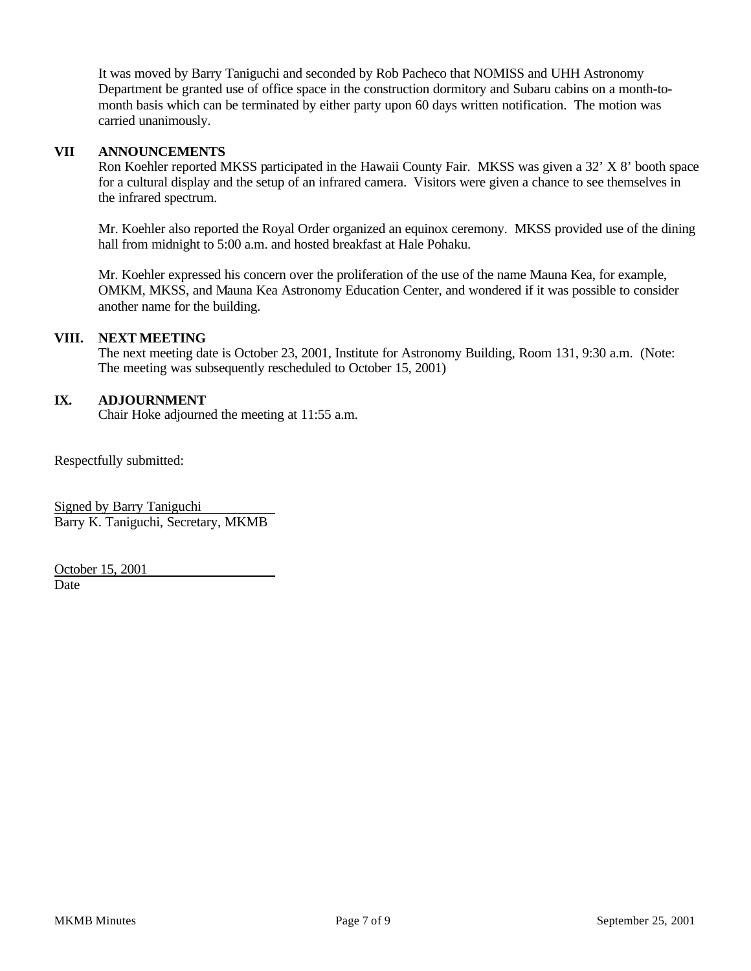It was moved by Barry Taniguchi and seconded by Rob Pacheco that NOMISS and UHH Astronomy Department be granted use of office space in the construction dormitory and Subaru cabins on a month-tomonth basis which can be terminated by either party upon 60 days written notification. The motion was carried unanimously.

### **VII ANNOUNCEMENTS**

Ron Koehler reported MKSS participated in the Hawaii County Fair. MKSS was given a 32' X 8' booth space for a cultural display and the setup of an infrared camera. Visitors were given a chance to see themselves in the infrared spectrum.

Mr. Koehler also reported the Royal Order organized an equinox ceremony. MKSS provided use of the dining hall from midnight to 5:00 a.m. and hosted breakfast at Hale Pohaku.

Mr. Koehler expressed his concern over the proliferation of the use of the name Mauna Kea, for example, OMKM, MKSS, and Mauna Kea Astronomy Education Center, and wondered if it was possible to consider another name for the building.

#### **VIII. NEXT MEETING**

The next meeting date is October 23, 2001, Institute for Astronomy Building, Room 131, 9:30 a.m. (Note: The meeting was subsequently rescheduled to October 15, 2001)

#### **IX. ADJOURNMENT**

Chair Hoke adjourned the meeting at 11:55 a.m.

Respectfully submitted:

Signed by Barry Taniguchi Barry K. Taniguchi, Secretary, MKMB

October 15, 2001 Date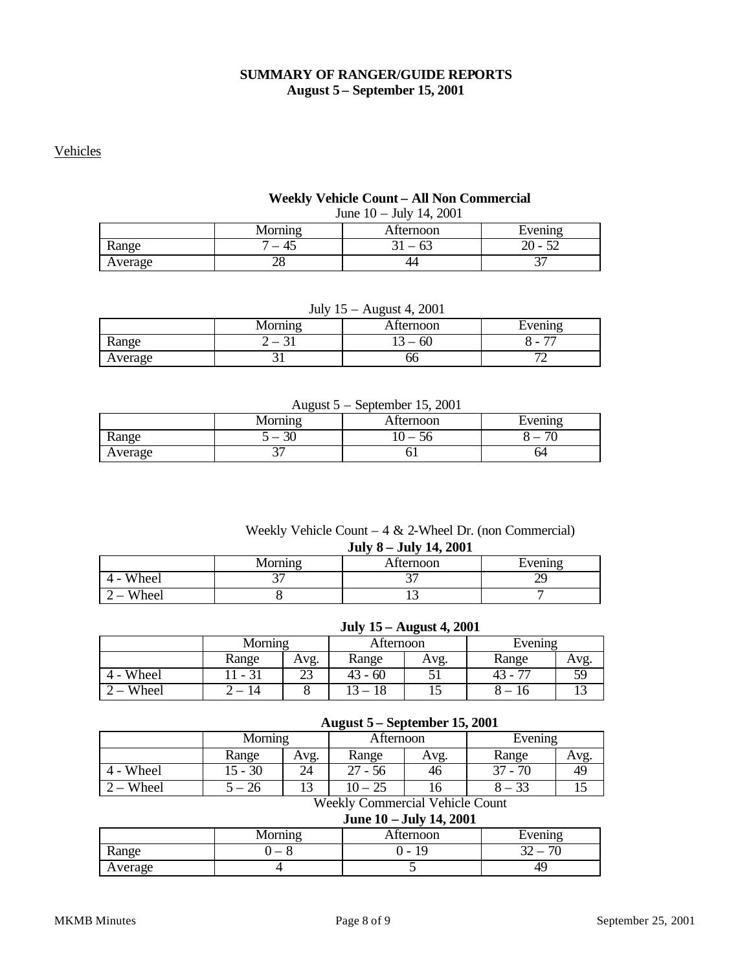## **SUMMARY OF RANGER/GUIDE REPORTS August 5 – September 15, 2001**

### Vehicles

# **Weekly Vehicle Count – All Non Commercial**

June 10 – July 14, 2001

|         | lornino         | ⊾tternoon | Evening                                   |
|---------|-----------------|-----------|-------------------------------------------|
| Range   | . .<br>$+$<br>– | O.        | ററ<br>$\overline{\phantom{a}}$<br>-<br>ΔU |
| Average | าง<br>40        | 44        | $\sim$ $\sim$<br>ັ                        |

| July $15$ – August 4, 2001      |  |       |   |  |  |  |
|---------------------------------|--|-------|---|--|--|--|
| Morning<br>Afternoon<br>Evening |  |       |   |  |  |  |
| Range                           |  | $-60$ | - |  |  |  |
| Average                         |  | bb    |   |  |  |  |

## August 5 – September 15, 2001

|         | .<br>_____<br>___ |           |                          |  |  |  |  |
|---------|-------------------|-----------|--------------------------|--|--|--|--|
|         | Morning           | Atternoon | Evening                  |  |  |  |  |
| Range   | or<br>ЭU          | ЭC        | $\overline{\phantom{a}}$ |  |  |  |  |
| Average | ້                 | UΙ        | 64                       |  |  |  |  |

#### Weekly Vehicle Count – 4 & 2-Wheel Dr. (non Commercial) **July 8 – July 14, 2001**

|              | JULY $0 - JUU$ $T$ , $2001$ |           |         |  |  |  |
|--------------|-----------------------------|-----------|---------|--|--|--|
|              | Morning                     | Afternoon | Evening |  |  |  |
| Wheel<br>4 - |                             |           |         |  |  |  |
| Wheel        |                             |           |         |  |  |  |

## **July 15 – August 4, 2001**

|       | Morning |        | Afternoon |      | Evening |      |
|-------|---------|--------|-----------|------|---------|------|
|       | Range   | Avg.   | Range     | Avg. | Range   | Avg. |
| Wheel | $\sim$  | $\sim$ | $43 - 60$ |      | 43 -    | 50   |
| Wheel | 14      |        |           |      |         |      |

#### **August 5 – September 15, 2001**

|       | Morning   |      | Afternoon |      | Evening |     |
|-------|-----------|------|-----------|------|---------|-----|
|       | Range     | Avg. | Range     | Avg. | Range   | Avg |
| Wheel | $15 - 30$ | 24   | - 56      | 46   | 70<br>ົ | 49  |
| Wheel | Zh        |      |           | 16   |         | ⊥~  |

## Weekly Commercial Vehicle Count

## **June 10 – July 14, 2001**

|         | $n_{\rm origin}$ | ⊾tternoon | Evening                       |
|---------|------------------|-----------|-------------------------------|
| Range   |                  | -         | $\overline{\phantom{a}}$<br>. |
| Average |                  |           | 49                            |